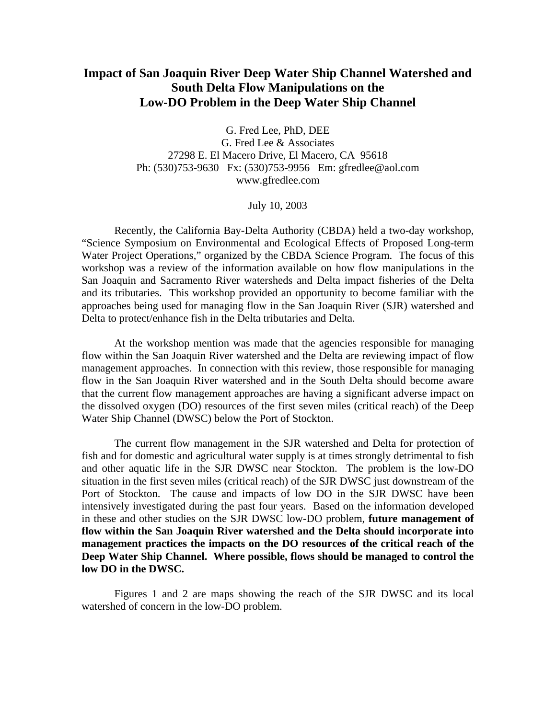# **Impact of San Joaquin River Deep Water Ship Channel Watershed and South Delta Flow Manipulations on the Low-DO Problem in the Deep Water Ship Channel**

G. Fred Lee, PhD, DEE G. Fred Lee & Associates 27298 E. El Macero Drive, El Macero, CA 95618 Ph: (530)753-9630 Fx: (530)753-9956 Em: gfredlee@aol.com www.gfredlee.com

July 10, 2003

 Recently, the California Bay-Delta Authority (CBDA) held a two-day workshop, "Science Symposium on Environmental and Ecological Effects of Proposed Long-term Water Project Operations," organized by the CBDA Science Program. The focus of this workshop was a review of the information available on how flow manipulations in the San Joaquin and Sacramento River watersheds and Delta impact fisheries of the Delta and its tributaries. This workshop provided an opportunity to become familiar with the approaches being used for managing flow in the San Joaquin River (SJR) watershed and Delta to protect/enhance fish in the Delta tributaries and Delta.

At the workshop mention was made that the agencies responsible for managing flow within the San Joaquin River watershed and the Delta are reviewing impact of flow management approaches. In connection with this review, those responsible for managing flow in the San Joaquin River watershed and in the South Delta should become aware that the current flow management approaches are having a significant adverse impact on the dissolved oxygen (DO) resources of the first seven miles (critical reach) of the Deep Water Ship Channel (DWSC) below the Port of Stockton.

The current flow management in the SJR watershed and Delta for protection of fish and for domestic and agricultural water supply is at times strongly detrimental to fish and other aquatic life in the SJR DWSC near Stockton. The problem is the low-DO situation in the first seven miles (critical reach) of the SJR DWSC just downstream of the Port of Stockton. The cause and impacts of low DO in the SJR DWSC have been intensively investigated during the past four years. Based on the information developed in these and other studies on the SJR DWSC low-DO problem, **future management of flow within the San Joaquin River watershed and the Delta should incorporate into management practices the impacts on the DO resources of the critical reach of the Deep Water Ship Channel. Where possible, flows should be managed to control the low DO in the DWSC.**

Figures 1 and 2 are maps showing the reach of the SJR DWSC and its local watershed of concern in the low-DO problem.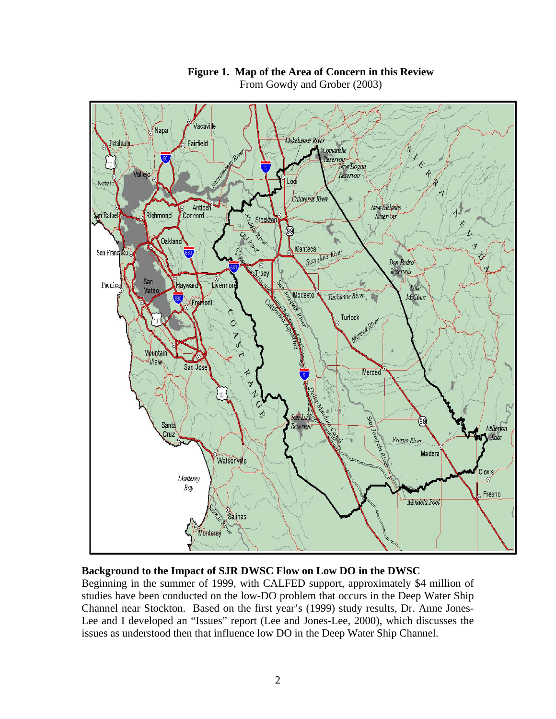

## **Figure 1. Map of the Area of Concern in this Review**  From Gowdy and Grober (2003)

# **Background to the Impact of SJR DWSC Flow on Low DO in the DWSC**

Beginning in the summer of 1999, with CALFED support, approximately \$4 million of studies have been conducted on the low-DO problem that occurs in the Deep Water Ship Channel near Stockton. Based on the first year's (1999) study results, Dr. Anne Jones-Lee and I developed an "Issues" report (Lee and Jones-Lee, 2000), which discusses the issues as understood then that influence low DO in the Deep Water Ship Channel.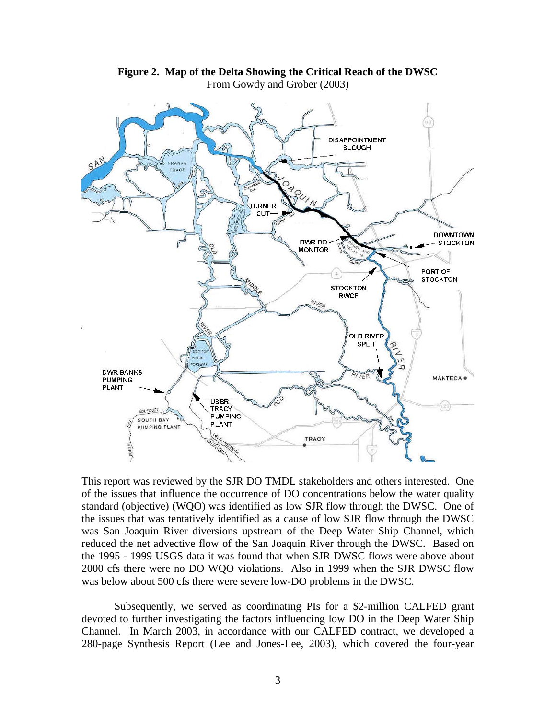

**Figure 2. Map of the Delta Showing the Critical Reach of the DWSC**  From Gowdy and Grober (2003)

This report was reviewed by the SJR DO TMDL stakeholders and others interested. One of the issues that influence the occurrence of DO concentrations below the water quality standard (objective) (WQO) was identified as low SJR flow through the DWSC. One of the issues that was tentatively identified as a cause of low SJR flow through the DWSC was San Joaquin River diversions upstream of the Deep Water Ship Channel, which reduced the net advective flow of the San Joaquin River through the DWSC. Based on the 1995 - 1999 USGS data it was found that when SJR DWSC flows were above about 2000 cfs there were no DO WQO violations. Also in 1999 when the SJR DWSC flow was below about 500 cfs there were severe low-DO problems in the DWSC.

 Subsequently, we served as coordinating PIs for a \$2-million CALFED grant devoted to further investigating the factors influencing low DO in the Deep Water Ship Channel. In March 2003, in accordance with our CALFED contract, we developed a 280-page Synthesis Report (Lee and Jones-Lee, 2003), which covered the four-year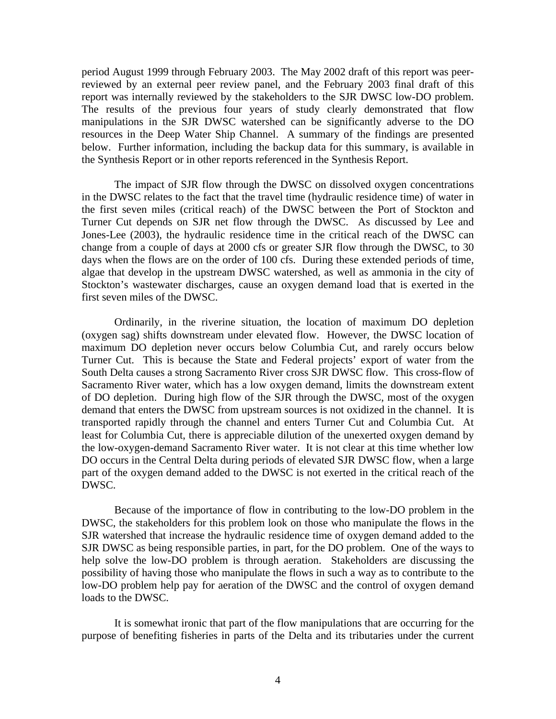period August 1999 through February 2003. The May 2002 draft of this report was peerreviewed by an external peer review panel, and the February 2003 final draft of this report was internally reviewed by the stakeholders to the SJR DWSC low-DO problem. The results of the previous four years of study clearly demonstrated that flow manipulations in the SJR DWSC watershed can be significantly adverse to the DO resources in the Deep Water Ship Channel. A summary of the findings are presented below. Further information, including the backup data for this summary, is available in the Synthesis Report or in other reports referenced in the Synthesis Report.

 The impact of SJR flow through the DWSC on dissolved oxygen concentrations in the DWSC relates to the fact that the travel time (hydraulic residence time) of water in the first seven miles (critical reach) of the DWSC between the Port of Stockton and Turner Cut depends on SJR net flow through the DWSC. As discussed by Lee and Jones-Lee (2003), the hydraulic residence time in the critical reach of the DWSC can change from a couple of days at 2000 cfs or greater SJR flow through the DWSC, to 30 days when the flows are on the order of 100 cfs. During these extended periods of time, algae that develop in the upstream DWSC watershed, as well as ammonia in the city of Stockton's wastewater discharges, cause an oxygen demand load that is exerted in the first seven miles of the DWSC.

 Ordinarily, in the riverine situation, the location of maximum DO depletion (oxygen sag) shifts downstream under elevated flow. However, the DWSC location of maximum DO depletion never occurs below Columbia Cut, and rarely occurs below Turner Cut. This is because the State and Federal projects' export of water from the South Delta causes a strong Sacramento River cross SJR DWSC flow. This cross-flow of Sacramento River water, which has a low oxygen demand, limits the downstream extent of DO depletion. During high flow of the SJR through the DWSC, most of the oxygen demand that enters the DWSC from upstream sources is not oxidized in the channel. It is transported rapidly through the channel and enters Turner Cut and Columbia Cut. At least for Columbia Cut, there is appreciable dilution of the unexerted oxygen demand by the low-oxygen-demand Sacramento River water. It is not clear at this time whether low DO occurs in the Central Delta during periods of elevated SJR DWSC flow, when a large part of the oxygen demand added to the DWSC is not exerted in the critical reach of the DWSC.

Because of the importance of flow in contributing to the low-DO problem in the DWSC, the stakeholders for this problem look on those who manipulate the flows in the SJR watershed that increase the hydraulic residence time of oxygen demand added to the SJR DWSC as being responsible parties, in part, for the DO problem. One of the ways to help solve the low-DO problem is through aeration. Stakeholders are discussing the possibility of having those who manipulate the flows in such a way as to contribute to the low-DO problem help pay for aeration of the DWSC and the control of oxygen demand loads to the DWSC.

It is somewhat ironic that part of the flow manipulations that are occurring for the purpose of benefiting fisheries in parts of the Delta and its tributaries under the current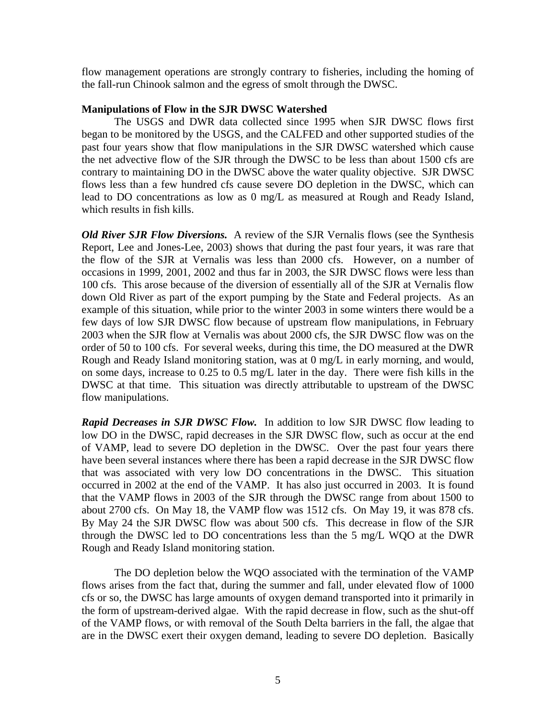flow management operations are strongly contrary to fisheries, including the homing of the fall-run Chinook salmon and the egress of smolt through the DWSC.

#### **Manipulations of Flow in the SJR DWSC Watershed**

 The USGS and DWR data collected since 1995 when SJR DWSC flows first began to be monitored by the USGS, and the CALFED and other supported studies of the past four years show that flow manipulations in the SJR DWSC watershed which cause the net advective flow of the SJR through the DWSC to be less than about 1500 cfs are contrary to maintaining DO in the DWSC above the water quality objective. SJR DWSC flows less than a few hundred cfs cause severe DO depletion in the DWSC, which can lead to DO concentrations as low as 0 mg/L as measured at Rough and Ready Island, which results in fish kills.

*Old River SJR Flow Diversions.*A review of the SJR Vernalis flows (see the Synthesis Report, Lee and Jones-Lee, 2003) shows that during the past four years, it was rare that the flow of the SJR at Vernalis was less than 2000 cfs. However, on a number of occasions in 1999, 2001, 2002 and thus far in 2003, the SJR DWSC flows were less than 100 cfs. This arose because of the diversion of essentially all of the SJR at Vernalis flow down Old River as part of the export pumping by the State and Federal projects. As an example of this situation, while prior to the winter 2003 in some winters there would be a few days of low SJR DWSC flow because of upstream flow manipulations, in February 2003 when the SJR flow at Vernalis was about 2000 cfs, the SJR DWSC flow was on the order of 50 to 100 cfs. For several weeks, during this time, the DO measured at the DWR Rough and Ready Island monitoring station, was at 0 mg/L in early morning, and would, on some days, increase to 0.25 to 0.5 mg/L later in the day. There were fish kills in the DWSC at that time. This situation was directly attributable to upstream of the DWSC flow manipulations.

*Rapid Decreases in SJR DWSC Flow.*In addition to low SJR DWSC flow leading to low DO in the DWSC, rapid decreases in the SJR DWSC flow, such as occur at the end of VAMP, lead to severe DO depletion in the DWSC. Over the past four years there have been several instances where there has been a rapid decrease in the SJR DWSC flow that was associated with very low DO concentrations in the DWSC. This situation occurred in 2002 at the end of the VAMP. It has also just occurred in 2003. It is found that the VAMP flows in 2003 of the SJR through the DWSC range from about 1500 to about 2700 cfs. On May 18, the VAMP flow was 1512 cfs. On May 19, it was 878 cfs. By May 24 the SJR DWSC flow was about 500 cfs. This decrease in flow of the SJR through the DWSC led to DO concentrations less than the 5 mg/L WQO at the DWR Rough and Ready Island monitoring station.

 The DO depletion below the WQO associated with the termination of the VAMP flows arises from the fact that, during the summer and fall, under elevated flow of 1000 cfs or so, the DWSC has large amounts of oxygen demand transported into it primarily in the form of upstream-derived algae. With the rapid decrease in flow, such as the shut-off of the VAMP flows, or with removal of the South Delta barriers in the fall, the algae that are in the DWSC exert their oxygen demand, leading to severe DO depletion. Basically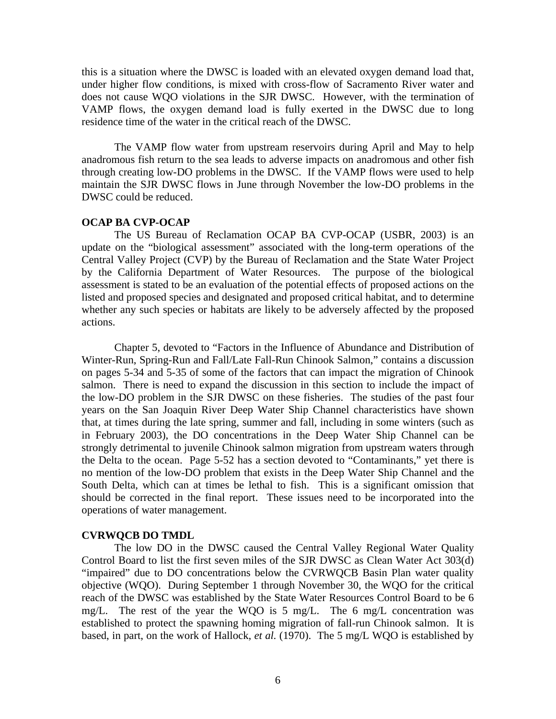this is a situation where the DWSC is loaded with an elevated oxygen demand load that, under higher flow conditions, is mixed with cross-flow of Sacramento River water and does not cause WQO violations in the SJR DWSC. However, with the termination of VAMP flows, the oxygen demand load is fully exerted in the DWSC due to long residence time of the water in the critical reach of the DWSC.

 The VAMP flow water from upstream reservoirs during April and May to help anadromous fish return to the sea leads to adverse impacts on anadromous and other fish through creating low-DO problems in the DWSC. If the VAMP flows were used to help maintain the SJR DWSC flows in June through November the low-DO problems in the DWSC could be reduced.

#### **OCAP BA CVP-OCAP**

The US Bureau of Reclamation OCAP BA CVP-OCAP (USBR, 2003) is an update on the "biological assessment" associated with the long-term operations of the Central Valley Project (CVP) by the Bureau of Reclamation and the State Water Project by the California Department of Water Resources. The purpose of the biological assessment is stated to be an evaluation of the potential effects of proposed actions on the listed and proposed species and designated and proposed critical habitat, and to determine whether any such species or habitats are likely to be adversely affected by the proposed actions.

 Chapter 5, devoted to "Factors in the Influence of Abundance and Distribution of Winter-Run, Spring-Run and Fall/Late Fall-Run Chinook Salmon," contains a discussion on pages 5-34 and 5-35 of some of the factors that can impact the migration of Chinook salmon. There is need to expand the discussion in this section to include the impact of the low-DO problem in the SJR DWSC on these fisheries. The studies of the past four years on the San Joaquin River Deep Water Ship Channel characteristics have shown that, at times during the late spring, summer and fall, including in some winters (such as in February 2003), the DO concentrations in the Deep Water Ship Channel can be strongly detrimental to juvenile Chinook salmon migration from upstream waters through the Delta to the ocean. Page 5-52 has a section devoted to "Contaminants," yet there is no mention of the low-DO problem that exists in the Deep Water Ship Channel and the South Delta, which can at times be lethal to fish. This is a significant omission that should be corrected in the final report. These issues need to be incorporated into the operations of water management.

#### **CVRWQCB DO TMDL**

 The low DO in the DWSC caused the Central Valley Regional Water Quality Control Board to list the first seven miles of the SJR DWSC as Clean Water Act 303(d) "impaired" due to DO concentrations below the CVRWQCB Basin Plan water quality objective (WQO). During September 1 through November 30, the WQO for the critical reach of the DWSC was established by the State Water Resources Control Board to be 6 mg/L. The rest of the year the WQO is 5 mg/L. The 6 mg/L concentration was established to protect the spawning homing migration of fall-run Chinook salmon. It is based, in part, on the work of Hallock, *et al.* (1970). The 5 mg/L WQO is established by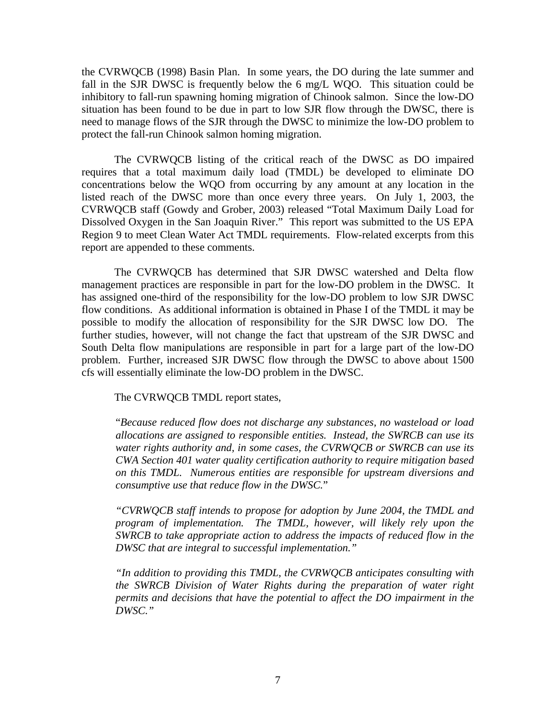the CVRWQCB (1998) Basin Plan. In some years, the DO during the late summer and fall in the SJR DWSC is frequently below the 6 mg/L WQO. This situation could be inhibitory to fall-run spawning homing migration of Chinook salmon. Since the low-DO situation has been found to be due in part to low SJR flow through the DWSC, there is need to manage flows of the SJR through the DWSC to minimize the low-DO problem to protect the fall-run Chinook salmon homing migration.

The CVRWQCB listing of the critical reach of the DWSC as DO impaired requires that a total maximum daily load (TMDL) be developed to eliminate DO concentrations below the WQO from occurring by any amount at any location in the listed reach of the DWSC more than once every three years. On July 1, 2003, the CVRWQCB staff (Gowdy and Grober, 2003) released "Total Maximum Daily Load for Dissolved Oxygen in the San Joaquin River." This report was submitted to the US EPA Region 9 to meet Clean Water Act TMDL requirements. Flow-related excerpts from this report are appended to these comments.

The CVRWQCB has determined that SJR DWSC watershed and Delta flow management practices are responsible in part for the low-DO problem in the DWSC. It has assigned one-third of the responsibility for the low-DO problem to low SJR DWSC flow conditions. As additional information is obtained in Phase I of the TMDL it may be possible to modify the allocation of responsibility for the SJR DWSC low DO. The further studies, however, will not change the fact that upstream of the SJR DWSC and South Delta flow manipulations are responsible in part for a large part of the low-DO problem. Further, increased SJR DWSC flow through the DWSC to above about 1500 cfs will essentially eliminate the low-DO problem in the DWSC.

The CVRWQCB TMDL report states,

"*Because reduced flow does not discharge any substances, no wasteload or load allocations are assigned to responsible entities. Instead, the SWRCB can use its water rights authority and, in some cases, the CVRWQCB or SWRCB can use its CWA Section 401 water quality certification authority to require mitigation based on this TMDL. Numerous entities are responsible for upstream diversions and consumptive use that reduce flow in the DWSC.*"

*"CVRWQCB staff intends to propose for adoption by June 2004, the TMDL and program of implementation. The TMDL, however, will likely rely upon the SWRCB to take appropriate action to address the impacts of reduced flow in the DWSC that are integral to successful implementation."* 

*"In addition to providing this TMDL, the CVRWQCB anticipates consulting with the SWRCB Division of Water Rights during the preparation of water right permits and decisions that have the potential to affect the DO impairment in the DWSC."*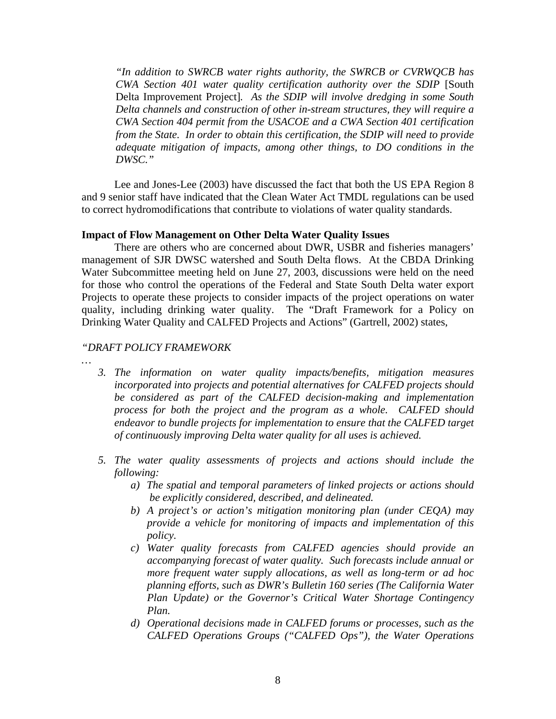*"In addition to SWRCB water rights authority, the SWRCB or CVRWQCB has CWA Section 401 water quality certification authority over the SDIP* [South Delta Improvement Project]*. As the SDIP will involve dredging in some South Delta channels and construction of other in-stream structures, they will require a CWA Section 404 permit from the USACOE and a CWA Section 401 certification from the State. In order to obtain this certification, the SDIP will need to provide adequate mitigation of impacts, among other things, to DO conditions in the DWSC."* 

Lee and Jones-Lee (2003) have discussed the fact that both the US EPA Region 8 and 9 senior staff have indicated that the Clean Water Act TMDL regulations can be used to correct hydromodifications that contribute to violations of water quality standards.

# **Impact of Flow Management on Other Delta Water Quality Issues**

 There are others who are concerned about DWR, USBR and fisheries managers' management of SJR DWSC watershed and South Delta flows. At the CBDA Drinking Water Subcommittee meeting held on June 27, 2003, discussions were held on the need for those who control the operations of the Federal and State South Delta water export Projects to operate these projects to consider impacts of the project operations on water quality, including drinking water quality. The "Draft Framework for a Policy on Drinking Water Quality and CALFED Projects and Actions" (Gartrell, 2002) states,

#### *"DRAFT POLICY FRAMEWORK*

*…* 

- *3. The information on water quality impacts/benefits, mitigation measures incorporated into projects and potential alternatives for CALFED projects should be considered as part of the CALFED decision-making and implementation process for both the project and the program as a whole. CALFED should endeavor to bundle projects for implementation to ensure that the CALFED target of continuously improving Delta water quality for all uses is achieved.*
- *5. The water quality assessments of projects and actions should include the following:* 
	- *a) The spatial and temporal parameters of linked projects or actions should be explicitly considered, described, and delineated.*
	- *b) A project's or action's mitigation monitoring plan (under CEQA) may provide a vehicle for monitoring of impacts and implementation of this policy.*
	- *c) Water quality forecasts from CALFED agencies should provide an accompanying forecast of water quality. Such forecasts include annual or more frequent water supply allocations, as well as long-term or ad hoc planning efforts, such as DWR's Bulletin 160 series (The California Water Plan Update) or the Governor's Critical Water Shortage Contingency Plan.*
	- *d) Operational decisions made in CALFED forums or processes, such as the CALFED Operations Groups ("CALFED Ops"), the Water Operations*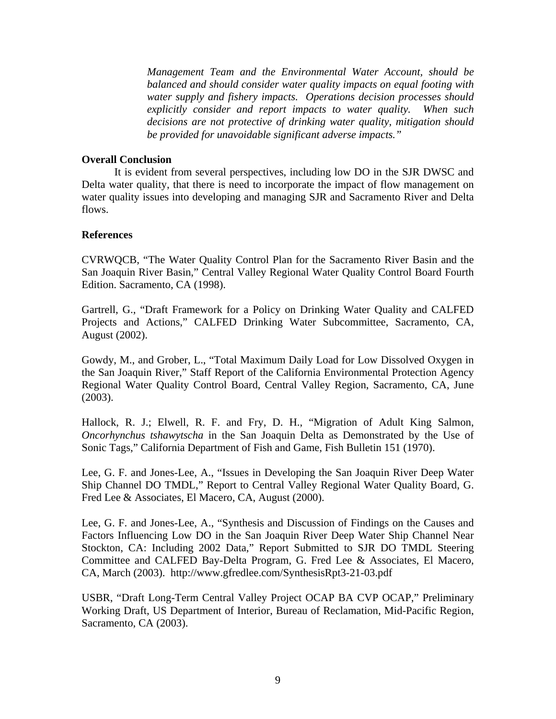*Management Team and the Environmental Water Account, should be balanced and should consider water quality impacts on equal footing with water supply and fishery impacts. Operations decision processes should explicitly consider and report impacts to water quality. When such decisions are not protective of drinking water quality, mitigation should be provided for unavoidable significant adverse impacts."* 

### **Overall Conclusion**

It is evident from several perspectives, including low DO in the SJR DWSC and Delta water quality, that there is need to incorporate the impact of flow management on water quality issues into developing and managing SJR and Sacramento River and Delta flows.

#### **References**

CVRWQCB, "The Water Quality Control Plan for the Sacramento River Basin and the San Joaquin River Basin," Central Valley Regional Water Quality Control Board Fourth Edition. Sacramento, CA (1998).

Gartrell, G., "Draft Framework for a Policy on Drinking Water Quality and CALFED Projects and Actions," CALFED Drinking Water Subcommittee, Sacramento, CA, August (2002).

Gowdy, M., and Grober, L., "Total Maximum Daily Load for Low Dissolved Oxygen in the San Joaquin River," Staff Report of the California Environmental Protection Agency Regional Water Quality Control Board, Central Valley Region, Sacramento, CA, June (2003).

Hallock, R. J.; Elwell, R. F. and Fry, D. H., "Migration of Adult King Salmon, *Oncorhynchus tshawytscha* in the San Joaquin Delta as Demonstrated by the Use of Sonic Tags," California Department of Fish and Game, Fish Bulletin 151 (1970).

Lee, G. F. and Jones-Lee, A., "Issues in Developing the San Joaquin River Deep Water Ship Channel DO TMDL," Report to Central Valley Regional Water Quality Board, G. Fred Lee & Associates, El Macero, CA, August (2000).

Lee, G. F. and Jones-Lee, A., "Synthesis and Discussion of Findings on the Causes and Factors Influencing Low DO in the San Joaquin River Deep Water Ship Channel Near Stockton, CA: Including 2002 Data," Report Submitted to SJR DO TMDL Steering Committee and CALFED Bay-Delta Program, G. Fred Lee & Associates, El Macero, CA, March (2003). http://www.gfredlee.com/SynthesisRpt3-21-03.pdf

USBR, "Draft Long-Term Central Valley Project OCAP BA CVP OCAP," Preliminary Working Draft, US Department of Interior, Bureau of Reclamation, Mid-Pacific Region, Sacramento, CA (2003).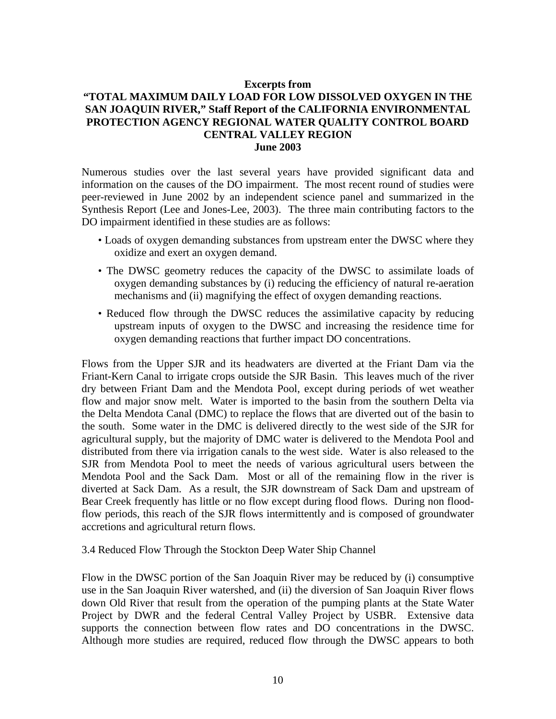### **Excerpts from**

# **"TOTAL MAXIMUM DAILY LOAD FOR LOW DISSOLVED OXYGEN IN THE SAN JOAQUIN RIVER," Staff Report of the CALIFORNIA ENVIRONMENTAL PROTECTION AGENCY REGIONAL WATER QUALITY CONTROL BOARD CENTRAL VALLEY REGION June 2003**

Numerous studies over the last several years have provided significant data and information on the causes of the DO impairment. The most recent round of studies were peer-reviewed in June 2002 by an independent science panel and summarized in the Synthesis Report (Lee and Jones-Lee, 2003). The three main contributing factors to the DO impairment identified in these studies are as follows:

- Loads of oxygen demanding substances from upstream enter the DWSC where they oxidize and exert an oxygen demand.
- The DWSC geometry reduces the capacity of the DWSC to assimilate loads of oxygen demanding substances by (i) reducing the efficiency of natural re-aeration mechanisms and (ii) magnifying the effect of oxygen demanding reactions.
- Reduced flow through the DWSC reduces the assimilative capacity by reducing upstream inputs of oxygen to the DWSC and increasing the residence time for oxygen demanding reactions that further impact DO concentrations.

Flows from the Upper SJR and its headwaters are diverted at the Friant Dam via the Friant-Kern Canal to irrigate crops outside the SJR Basin. This leaves much of the river dry between Friant Dam and the Mendota Pool, except during periods of wet weather flow and major snow melt. Water is imported to the basin from the southern Delta via the Delta Mendota Canal (DMC) to replace the flows that are diverted out of the basin to the south. Some water in the DMC is delivered directly to the west side of the SJR for agricultural supply, but the majority of DMC water is delivered to the Mendota Pool and distributed from there via irrigation canals to the west side. Water is also released to the SJR from Mendota Pool to meet the needs of various agricultural users between the Mendota Pool and the Sack Dam. Most or all of the remaining flow in the river is diverted at Sack Dam. As a result, the SJR downstream of Sack Dam and upstream of Bear Creek frequently has little or no flow except during flood flows. During non floodflow periods, this reach of the SJR flows intermittently and is composed of groundwater accretions and agricultural return flows.

#### 3.4 Reduced Flow Through the Stockton Deep Water Ship Channel

Flow in the DWSC portion of the San Joaquin River may be reduced by (i) consumptive use in the San Joaquin River watershed, and (ii) the diversion of San Joaquin River flows down Old River that result from the operation of the pumping plants at the State Water Project by DWR and the federal Central Valley Project by USBR. Extensive data supports the connection between flow rates and DO concentrations in the DWSC. Although more studies are required, reduced flow through the DWSC appears to both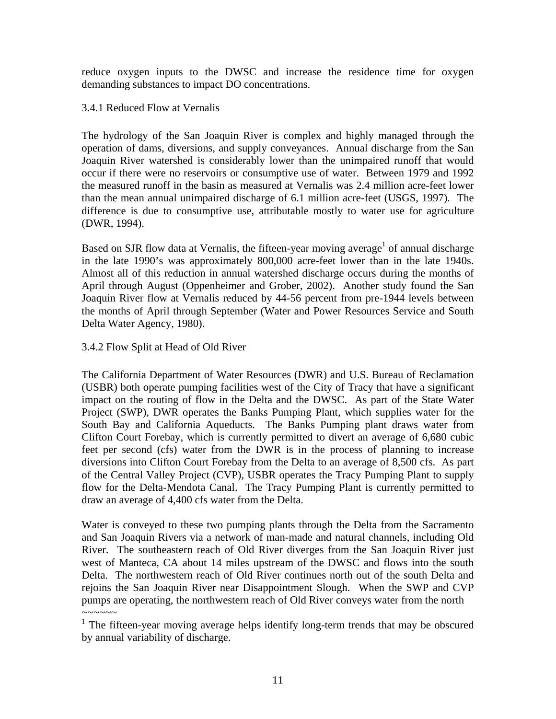reduce oxygen inputs to the DWSC and increase the residence time for oxygen demanding substances to impact DO concentrations.

3.4.1 Reduced Flow at Vernalis

The hydrology of the San Joaquin River is complex and highly managed through the operation of dams, diversions, and supply conveyances. Annual discharge from the San Joaquin River watershed is considerably lower than the unimpaired runoff that would occur if there were no reservoirs or consumptive use of water. Between 1979 and 1992 the measured runoff in the basin as measured at Vernalis was 2.4 million acre-feet lower than the mean annual unimpaired discharge of 6.1 million acre-feet (USGS, 1997). The difference is due to consumptive use, attributable mostly to water use for agriculture (DWR, 1994).

Based on SJR flow data at Vernalis, the fifteen-year moving average<sup>1</sup> of annual discharge in the late 1990's was approximately 800,000 acre-feet lower than in the late 1940s. Almost all of this reduction in annual watershed discharge occurs during the months of April through August (Oppenheimer and Grober, 2002). Another study found the San Joaquin River flow at Vernalis reduced by 44-56 percent from pre-1944 levels between the months of April through September (Water and Power Resources Service and South Delta Water Agency, 1980).

3.4.2 Flow Split at Head of Old River

The California Department of Water Resources (DWR) and U.S. Bureau of Reclamation (USBR) both operate pumping facilities west of the City of Tracy that have a significant impact on the routing of flow in the Delta and the DWSC. As part of the State Water Project (SWP), DWR operates the Banks Pumping Plant, which supplies water for the South Bay and California Aqueducts. The Banks Pumping plant draws water from Clifton Court Forebay, which is currently permitted to divert an average of 6,680 cubic feet per second (cfs) water from the DWR is in the process of planning to increase diversions into Clifton Court Forebay from the Delta to an average of 8,500 cfs. As part of the Central Valley Project (CVP), USBR operates the Tracy Pumping Plant to supply flow for the Delta-Mendota Canal. The Tracy Pumping Plant is currently permitted to draw an average of 4,400 cfs water from the Delta.

Water is conveyed to these two pumping plants through the Delta from the Sacramento and San Joaquin Rivers via a network of man-made and natural channels, including Old River. The southeastern reach of Old River diverges from the San Joaquin River just west of Manteca, CA about 14 miles upstream of the DWSC and flows into the south Delta. The northwestern reach of Old River continues north out of the south Delta and rejoins the San Joaquin River near Disappointment Slough. When the SWP and CVP pumps are operating, the northwestern reach of Old River conveys water from the north  $\sim\sim\sim\sim\sim\sim$ 

<sup>&</sup>lt;sup>1</sup> The fifteen-year moving average helps identify long-term trends that may be obscured by annual variability of discharge.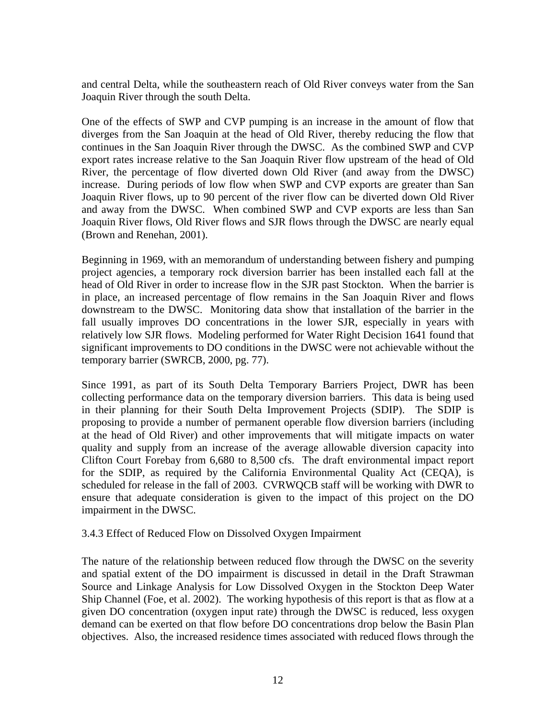and central Delta, while the southeastern reach of Old River conveys water from the San Joaquin River through the south Delta.

One of the effects of SWP and CVP pumping is an increase in the amount of flow that diverges from the San Joaquin at the head of Old River, thereby reducing the flow that continues in the San Joaquin River through the DWSC. As the combined SWP and CVP export rates increase relative to the San Joaquin River flow upstream of the head of Old River, the percentage of flow diverted down Old River (and away from the DWSC) increase. During periods of low flow when SWP and CVP exports are greater than San Joaquin River flows, up to 90 percent of the river flow can be diverted down Old River and away from the DWSC. When combined SWP and CVP exports are less than San Joaquin River flows, Old River flows and SJR flows through the DWSC are nearly equal (Brown and Renehan, 2001).

Beginning in 1969, with an memorandum of understanding between fishery and pumping project agencies, a temporary rock diversion barrier has been installed each fall at the head of Old River in order to increase flow in the SJR past Stockton. When the barrier is in place, an increased percentage of flow remains in the San Joaquin River and flows downstream to the DWSC. Monitoring data show that installation of the barrier in the fall usually improves DO concentrations in the lower SJR, especially in years with relatively low SJR flows. Modeling performed for Water Right Decision 1641 found that significant improvements to DO conditions in the DWSC were not achievable without the temporary barrier (SWRCB, 2000, pg. 77).

Since 1991, as part of its South Delta Temporary Barriers Project, DWR has been collecting performance data on the temporary diversion barriers. This data is being used in their planning for their South Delta Improvement Projects (SDIP). The SDIP is proposing to provide a number of permanent operable flow diversion barriers (including at the head of Old River) and other improvements that will mitigate impacts on water quality and supply from an increase of the average allowable diversion capacity into Clifton Court Forebay from 6,680 to 8,500 cfs. The draft environmental impact report for the SDIP, as required by the California Environmental Quality Act (CEQA), is scheduled for release in the fall of 2003. CVRWQCB staff will be working with DWR to ensure that adequate consideration is given to the impact of this project on the DO impairment in the DWSC.

## 3.4.3 Effect of Reduced Flow on Dissolved Oxygen Impairment

The nature of the relationship between reduced flow through the DWSC on the severity and spatial extent of the DO impairment is discussed in detail in the Draft Strawman Source and Linkage Analysis for Low Dissolved Oxygen in the Stockton Deep Water Ship Channel (Foe, et al. 2002). The working hypothesis of this report is that as flow at a given DO concentration (oxygen input rate) through the DWSC is reduced, less oxygen demand can be exerted on that flow before DO concentrations drop below the Basin Plan objectives. Also, the increased residence times associated with reduced flows through the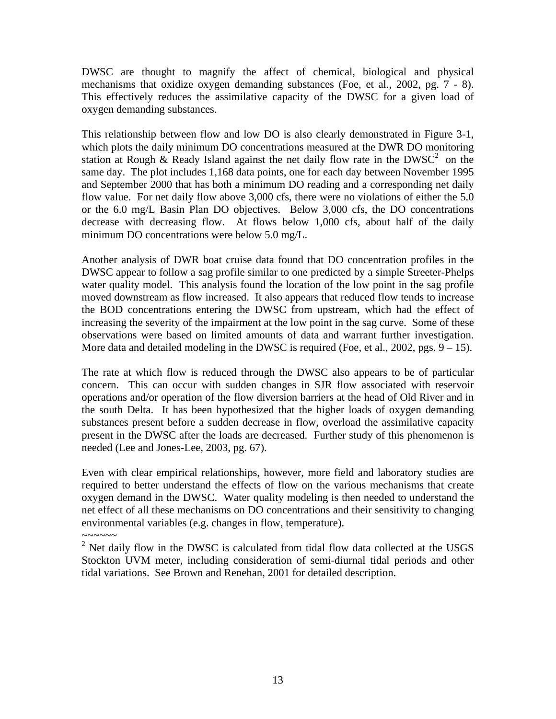DWSC are thought to magnify the affect of chemical, biological and physical mechanisms that oxidize oxygen demanding substances (Foe, et al., 2002, pg. 7 - 8). This effectively reduces the assimilative capacity of the DWSC for a given load of oxygen demanding substances.

This relationship between flow and low DO is also clearly demonstrated in Figure 3-1, which plots the daily minimum DO concentrations measured at the DWR DO monitoring station at Rough & Ready Island against the net daily flow rate in the DWSC<sup>2</sup> on the same day. The plot includes 1,168 data points, one for each day between November 1995 and September 2000 that has both a minimum DO reading and a corresponding net daily flow value. For net daily flow above 3,000 cfs, there were no violations of either the 5.0 or the 6.0 mg/L Basin Plan DO objectives. Below 3,000 cfs, the DO concentrations decrease with decreasing flow. At flows below 1,000 cfs, about half of the daily minimum DO concentrations were below 5.0 mg/L.

Another analysis of DWR boat cruise data found that DO concentration profiles in the DWSC appear to follow a sag profile similar to one predicted by a simple Streeter-Phelps water quality model. This analysis found the location of the low point in the sag profile moved downstream as flow increased. It also appears that reduced flow tends to increase the BOD concentrations entering the DWSC from upstream, which had the effect of increasing the severity of the impairment at the low point in the sag curve. Some of these observations were based on limited amounts of data and warrant further investigation. More data and detailed modeling in the DWSC is required (Foe, et al., 2002, pgs.  $9 - 15$ ).

The rate at which flow is reduced through the DWSC also appears to be of particular concern. This can occur with sudden changes in SJR flow associated with reservoir operations and/or operation of the flow diversion barriers at the head of Old River and in the south Delta. It has been hypothesized that the higher loads of oxygen demanding substances present before a sudden decrease in flow, overload the assimilative capacity present in the DWSC after the loads are decreased. Further study of this phenomenon is needed (Lee and Jones-Lee, 2003, pg. 67).

Even with clear empirical relationships, however, more field and laboratory studies are required to better understand the effects of flow on the various mechanisms that create oxygen demand in the DWSC. Water quality modeling is then needed to understand the net effect of all these mechanisms on DO concentrations and their sensitivity to changing environmental variables (e.g. changes in flow, temperature).

~~~~~~ 2 Net daily flow in the DWSC is calculated from tidal flow data collected at the USGS Stockton UVM meter, including consideration of semi-diurnal tidal periods and other tidal variations. See Brown and Renehan, 2001 for detailed description.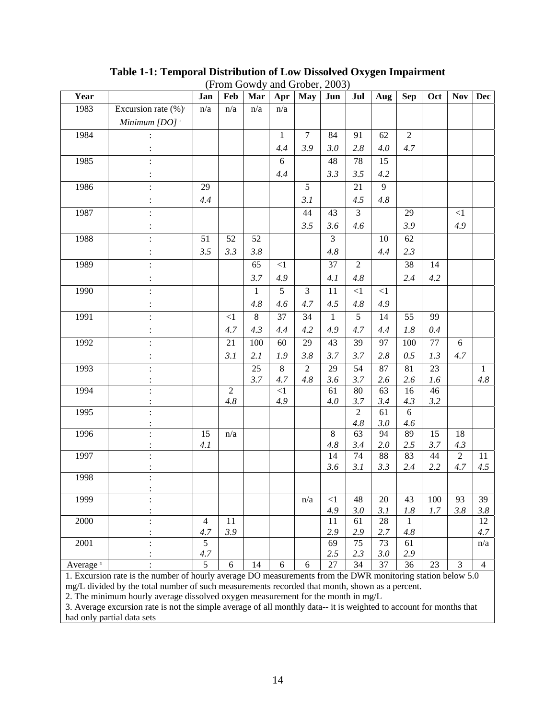|                      |                             |     |                |                 |              | $(110111 \text{ O}0 \text{ W} \text{u})$ and $(110001, 2000)$ |              |                 |          |                 |         |                |                |
|----------------------|-----------------------------|-----|----------------|-----------------|--------------|---------------------------------------------------------------|--------------|-----------------|----------|-----------------|---------|----------------|----------------|
| Year                 |                             | Jan | Feb            | Mar             | Apr          | <b>May</b>                                                    | Jun          | Jul             | Aug      | <b>Sep</b>      | Oct     | <b>Nov</b>     | <b>Dec</b>     |
| 1983                 | Excursion rate $(\%)^1$     | n/a | n/a            | n/a             | n/a          |                                                               |              |                 |          |                 |         |                |                |
|                      | Minimum $[DO]$ <sup>2</sup> |     |                |                 |              |                                                               |              |                 |          |                 |         |                |                |
| 1984                 |                             |     |                |                 | $\mathbf{1}$ | $\overline{7}$                                                | 84           | 91              | 62       | $\overline{2}$  |         |                |                |
|                      |                             |     |                |                 | 4.4          | 3.9                                                           | 3.0          | 2.8             | 4.0      | 4.7             |         |                |                |
| 1985                 |                             |     |                |                 | $6\,$        |                                                               | 48           | 78              | 15       |                 |         |                |                |
|                      |                             |     |                |                 | 4.4          |                                                               | 3.3          | 3.5             | 4.2      |                 |         |                |                |
| 1986                 |                             | 29  |                |                 |              | 5                                                             |              | 21              | 9        |                 |         |                |                |
|                      |                             | 4.4 |                |                 |              | 3.1                                                           |              | 4.5             | 4.8      |                 |         |                |                |
| 1987                 |                             |     |                |                 |              | 44                                                            | 43           | $\overline{3}$  |          | 29              |         | <1             |                |
|                      |                             |     |                |                 |              | 3.5                                                           | 3.6          | 4.6             |          | 3.9             |         | 4.9            |                |
| 1988                 |                             | 51  | 52             | 52              |              |                                                               | 3            |                 | 10       | 62              |         |                |                |
|                      |                             | 3.5 | 3.3            | 3.8             |              |                                                               | 4.8          |                 | 4.4      | 2.3             |         |                |                |
| 1989                 |                             |     |                | $\overline{65}$ | $<1$         |                                                               | 37           | $\overline{2}$  |          | $\overline{38}$ | 14      |                |                |
|                      |                             |     |                | 3.7             | 4.9          |                                                               | 4.1          | 4.8             |          | 2.4             | 4.2     |                |                |
| 1990                 |                             |     |                | $\mathbf{1}$    | 5            | $\overline{3}$                                                | 11           | $\leq$ 1        | $<\!\!1$ |                 |         |                |                |
|                      |                             |     |                | 4.8             | 4.6          | 4.7                                                           | 4.5          | 4.8             | 4.9      |                 |         |                |                |
| 1991                 |                             |     | <1             | $8\,$           | 37           | 34                                                            | $\mathbf{1}$ | 5               | 14       | 55              | 99      |                |                |
|                      |                             |     | 4.7            | 4.3             | 4.4          | 4.2                                                           | 4.9          | 4.7             | 4.4      | $1.8\,$         | $0.4\,$ |                |                |
| 1992                 |                             |     | 21             | 100             | 60           | 29                                                            | 43           | 39              | 97       | 100             | 77      | 6              |                |
|                      |                             |     | 3.1            | 2.1             | 1.9          | 3.8                                                           | 3.7          | 3.7             | 2.8      | 0.5             | 1.3     | 4.7            |                |
| 1993                 |                             |     |                | 25              | $8\,$        | $\overline{2}$                                                | 29           | $\overline{54}$ | 87       | 81              | 23      |                | 1              |
|                      |                             |     |                | 3.7             | 4.7          | 4.8                                                           | 3.6          | 3.7             | 2.6      | 2.6             | 1.6     |                | 4.8            |
| 1994                 |                             |     | $\overline{2}$ |                 | $<\!\!1$     |                                                               | 61           | 80              | 63       | 16              | 46      |                |                |
|                      |                             |     | $4.8\,$        |                 | 4.9          |                                                               | 4.0          | 3.7             | 3.4      | 4.3             | 3.2     |                |                |
| 1995                 |                             |     |                |                 |              |                                                               |              | $\overline{2}$  | 61       | 6               |         |                |                |
|                      |                             |     |                |                 |              |                                                               |              | 4.8             | 3.0      | 4.6             |         |                |                |
| 1996                 |                             | 15  | n/a            |                 |              |                                                               | $8\,$        | 63              | 94       | 89              | 15      | 18             |                |
|                      |                             | 4.1 |                |                 |              |                                                               | 4.8          | 3.4             | 2.0      | 2.5             | 3.7     | 4.3            |                |
| 1997                 |                             |     |                |                 |              |                                                               | 14           | 74              | 88       | 83              | 44      | $\overline{2}$ | 11             |
|                      |                             |     |                |                 |              |                                                               | 3.6          | 3.1             | 3.3      | 2.4             | 2.2     | 4.7            | 4.5            |
| 1998                 |                             |     |                |                 |              |                                                               |              |                 |          |                 |         |                |                |
| 1999                 |                             |     |                |                 |              | n/a                                                           | $\leq$ 1     | 48              | $20\,$   | 43              | 100     | 93             | 39             |
|                      |                             |     |                |                 |              |                                                               | 4.9          | 3.0             | 3.1      | $1.8\,$         | 1.7     | 3.8            | 3.8            |
| 2000                 |                             | 4   | 11             |                 |              |                                                               | 11           | 61              | 28       | 1               |         |                | 12             |
|                      |                             | 4.7 | 3.9            |                 |              |                                                               | 2.9          | 2.9             | 2.7      | 4.8             |         |                | 4.7            |
| 2001                 |                             | 5   |                |                 |              |                                                               | 69           | 75              | 73       | 61              |         |                | n/a            |
|                      |                             | 4.7 |                |                 |              |                                                               | 2.5          | 2.3             | 3.0      | 2.9             |         |                |                |
| Average <sup>3</sup> |                             | 5   | 6              | 14              | $\sqrt{6}$   | 6                                                             | 27           | 34              | 37       | 36              | 23      | $\mathfrak{Z}$ | $\overline{4}$ |

**Table 1-1: Temporal Distribution of Low Dissolved Oxygen Impairment**  (From Gowdy and Grober, 2003)

1. Excursion rate is the number of hourly average DO measurements from the DWR monitoring station below 5.0 mg/L divided by the total number of such measurements recorded that month, shown as a percent.

2. The minimum hourly average dissolved oxygen measurement for the month in mg/L

3. Average excursion rate is not the simple average of all monthly data-- it is weighted to account for months that had only partial data sets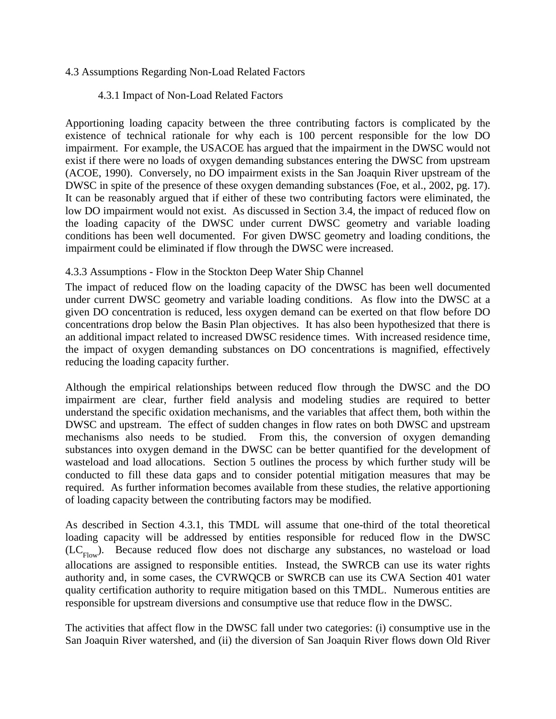# 4.3 Assumptions Regarding Non-Load Related Factors

# 4.3.1 Impact of Non-Load Related Factors

Apportioning loading capacity between the three contributing factors is complicated by the existence of technical rationale for why each is 100 percent responsible for the low DO impairment. For example, the USACOE has argued that the impairment in the DWSC would not exist if there were no loads of oxygen demanding substances entering the DWSC from upstream (ACOE, 1990). Conversely, no DO impairment exists in the San Joaquin River upstream of the DWSC in spite of the presence of these oxygen demanding substances (Foe, et al., 2002, pg. 17). It can be reasonably argued that if either of these two contributing factors were eliminated, the low DO impairment would not exist. As discussed in Section 3.4, the impact of reduced flow on the loading capacity of the DWSC under current DWSC geometry and variable loading conditions has been well documented. For given DWSC geometry and loading conditions, the impairment could be eliminated if flow through the DWSC were increased.

# 4.3.3 Assumptions - Flow in the Stockton Deep Water Ship Channel

The impact of reduced flow on the loading capacity of the DWSC has been well documented under current DWSC geometry and variable loading conditions. As flow into the DWSC at a given DO concentration is reduced, less oxygen demand can be exerted on that flow before DO concentrations drop below the Basin Plan objectives. It has also been hypothesized that there is an additional impact related to increased DWSC residence times. With increased residence time, the impact of oxygen demanding substances on DO concentrations is magnified, effectively reducing the loading capacity further.

Although the empirical relationships between reduced flow through the DWSC and the DO impairment are clear, further field analysis and modeling studies are required to better understand the specific oxidation mechanisms, and the variables that affect them, both within the DWSC and upstream. The effect of sudden changes in flow rates on both DWSC and upstream mechanisms also needs to be studied. From this, the conversion of oxygen demanding substances into oxygen demand in the DWSC can be better quantified for the development of wasteload and load allocations. Section 5 outlines the process by which further study will be conducted to fill these data gaps and to consider potential mitigation measures that may be required. As further information becomes available from these studies, the relative apportioning of loading capacity between the contributing factors may be modified.

As described in Section 4.3.1, this TMDL will assume that one-third of the total theoretical loading capacity will be addressed by entities responsible for reduced flow in the DWSC  $(LC_{Flow})$ . Because reduced flow does not discharge any substances, no wasteload or load allocations are assigned to responsible entities. Instead, the SWRCB can use its water rights authority and, in some cases, the CVRWQCB or SWRCB can use its CWA Section 401 water quality certification authority to require mitigation based on this TMDL. Numerous entities are responsible for upstream diversions and consumptive use that reduce flow in the DWSC.

The activities that affect flow in the DWSC fall under two categories: (i) consumptive use in the San Joaquin River watershed, and (ii) the diversion of San Joaquin River flows down Old River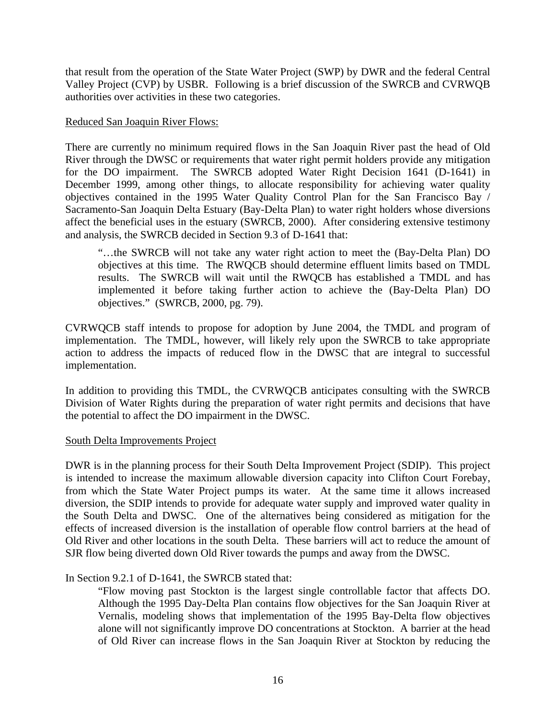that result from the operation of the State Water Project (SWP) by DWR and the federal Central Valley Project (CVP) by USBR. Following is a brief discussion of the SWRCB and CVRWQB authorities over activities in these two categories.

### Reduced San Joaquin River Flows:

There are currently no minimum required flows in the San Joaquin River past the head of Old River through the DWSC or requirements that water right permit holders provide any mitigation for the DO impairment. The SWRCB adopted Water Right Decision 1641 (D-1641) in December 1999, among other things, to allocate responsibility for achieving water quality objectives contained in the 1995 Water Quality Control Plan for the San Francisco Bay / Sacramento-San Joaquin Delta Estuary (Bay-Delta Plan) to water right holders whose diversions affect the beneficial uses in the estuary (SWRCB, 2000). After considering extensive testimony and analysis, the SWRCB decided in Section 9.3 of D-1641 that:

"…the SWRCB will not take any water right action to meet the (Bay-Delta Plan) DO objectives at this time. The RWQCB should determine effluent limits based on TMDL results. The SWRCB will wait until the RWQCB has established a TMDL and has implemented it before taking further action to achieve the (Bay-Delta Plan) DO objectives." (SWRCB, 2000, pg. 79).

CVRWQCB staff intends to propose for adoption by June 2004, the TMDL and program of implementation. The TMDL, however, will likely rely upon the SWRCB to take appropriate action to address the impacts of reduced flow in the DWSC that are integral to successful implementation.

In addition to providing this TMDL, the CVRWQCB anticipates consulting with the SWRCB Division of Water Rights during the preparation of water right permits and decisions that have the potential to affect the DO impairment in the DWSC.

## South Delta Improvements Project

DWR is in the planning process for their South Delta Improvement Project (SDIP). This project is intended to increase the maximum allowable diversion capacity into Clifton Court Forebay, from which the State Water Project pumps its water. At the same time it allows increased diversion, the SDIP intends to provide for adequate water supply and improved water quality in the South Delta and DWSC. One of the alternatives being considered as mitigation for the effects of increased diversion is the installation of operable flow control barriers at the head of Old River and other locations in the south Delta. These barriers will act to reduce the amount of SJR flow being diverted down Old River towards the pumps and away from the DWSC.

## In Section 9.2.1 of D-1641, the SWRCB stated that:

"Flow moving past Stockton is the largest single controllable factor that affects DO. Although the 1995 Day-Delta Plan contains flow objectives for the San Joaquin River at Vernalis, modeling shows that implementation of the 1995 Bay-Delta flow objectives alone will not significantly improve DO concentrations at Stockton. A barrier at the head of Old River can increase flows in the San Joaquin River at Stockton by reducing the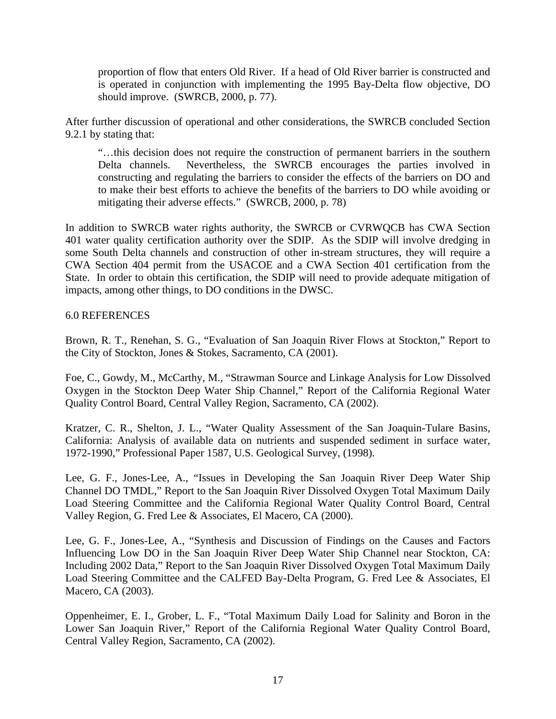proportion of flow that enters Old River. If a head of Old River barrier is constructed and is operated in conjunction with implementing the 1995 Bay-Delta flow objective, DO should improve. (SWRCB, 2000, p. 77).

After further discussion of operational and other considerations, the SWRCB concluded Section 9.2.1 by stating that:

"…this decision does not require the construction of permanent barriers in the southern Delta channels. Nevertheless, the SWRCB encourages the parties involved in constructing and regulating the barriers to consider the effects of the barriers on DO and to make their best efforts to achieve the benefits of the barriers to DO while avoiding or mitigating their adverse effects." (SWRCB, 2000, p. 78)

In addition to SWRCB water rights authority, the SWRCB or CVRWQCB has CWA Section 401 water quality certification authority over the SDIP. As the SDIP will involve dredging in some South Delta channels and construction of other in-stream structures, they will require a CWA Section 404 permit from the USACOE and a CWA Section 401 certification from the State. In order to obtain this certification, the SDIP will need to provide adequate mitigation of impacts, among other things, to DO conditions in the DWSC.

# 6.0 REFERENCES

Brown, R. T., Renehan, S. G., "Evaluation of San Joaquin River Flows at Stockton," Report to the City of Stockton, Jones & Stokes, Sacramento, CA (2001).

Foe, C., Gowdy, M., McCarthy, M., "Strawman Source and Linkage Analysis for Low Dissolved Oxygen in the Stockton Deep Water Ship Channel," Report of the California Regional Water Quality Control Board, Central Valley Region, Sacramento, CA (2002).

Kratzer, C. R., Shelton, J. L., "Water Quality Assessment of the San Joaquin-Tulare Basins, California: Analysis of available data on nutrients and suspended sediment in surface water, 1972-1990," Professional Paper 1587, U.S. Geological Survey, (1998).

Lee, G. F., Jones-Lee, A., "Issues in Developing the San Joaquin River Deep Water Ship Channel DO TMDL," Report to the San Joaquin River Dissolved Oxygen Total Maximum Daily Load Steering Committee and the California Regional Water Quality Control Board, Central Valley Region, G. Fred Lee & Associates, El Macero, CA (2000).

Lee, G. F., Jones-Lee, A., "Synthesis and Discussion of Findings on the Causes and Factors Influencing Low DO in the San Joaquin River Deep Water Ship Channel near Stockton, CA: Including 2002 Data," Report to the San Joaquin River Dissolved Oxygen Total Maximum Daily Load Steering Committee and the CALFED Bay-Delta Program, G. Fred Lee & Associates, El Macero, CA (2003).

Oppenheimer, E. I., Grober, L. F., "Total Maximum Daily Load for Salinity and Boron in the Lower San Joaquin River," Report of the California Regional Water Quality Control Board, Central Valley Region, Sacramento, CA (2002).